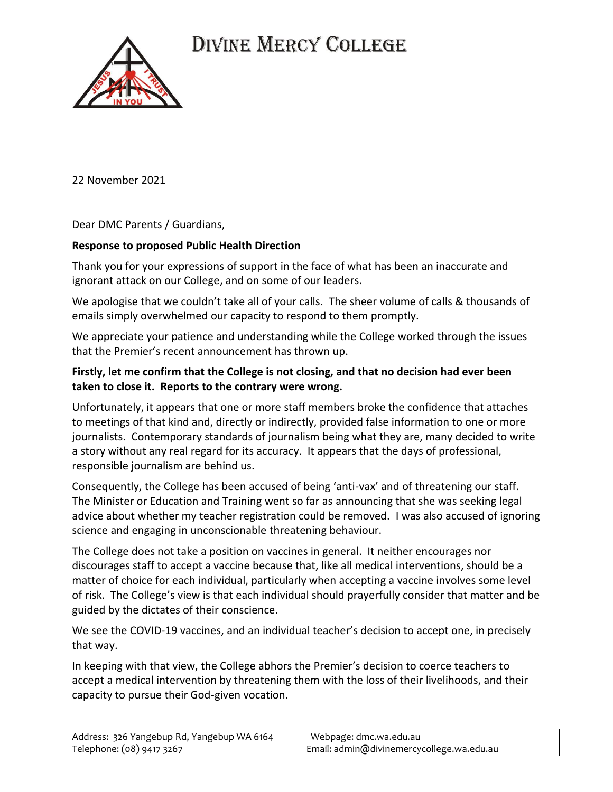



22 November 2021

Dear DMC Parents / Guardians,

## **Response to proposed Public Health Direction**

Thank you for your expressions of support in the face of what has been an inaccurate and ignorant attack on our College, and on some of our leaders.

We apologise that we couldn't take all of your calls. The sheer volume of calls & thousands of emails simply overwhelmed our capacity to respond to them promptly.

We appreciate your patience and understanding while the College worked through the issues that the Premier's recent announcement has thrown up.

## **Firstly, let me confirm that the College is not closing, and that no decision had ever been taken to close it. Reports to the contrary were wrong.**

Unfortunately, it appears that one or more staff members broke the confidence that attaches to meetings of that kind and, directly or indirectly, provided false information to one or more journalists. Contemporary standards of journalism being what they are, many decided to write a story without any real regard for its accuracy. It appears that the days of professional, responsible journalism are behind us.

Consequently, the College has been accused of being 'anti-vax' and of threatening our staff. The Minister or Education and Training went so far as announcing that she was seeking legal advice about whether my teacher registration could be removed. I was also accused of ignoring science and engaging in unconscionable threatening behaviour.

The College does not take a position on vaccines in general. It neither encourages nor discourages staff to accept a vaccine because that, like all medical interventions, should be a matter of choice for each individual, particularly when accepting a vaccine involves some level of risk. The College's view is that each individual should prayerfully consider that matter and be guided by the dictates of their conscience.

We see the COVID-19 vaccines, and an individual teacher's decision to accept one, in precisely that way.

In keeping with that view, the College abhors the Premier's decision to coerce teachers to accept a medical intervention by threatening them with the loss of their livelihoods, and their capacity to pursue their God-given vocation.

| Address: 326 Yangebup Rd, Yangebup WA 6164 | Webpage: dmc.wa.edu.au                    |
|--------------------------------------------|-------------------------------------------|
| Telephone: (08) 9417 3267                  | Email: admin@divinemercycollege.wa.edu.au |